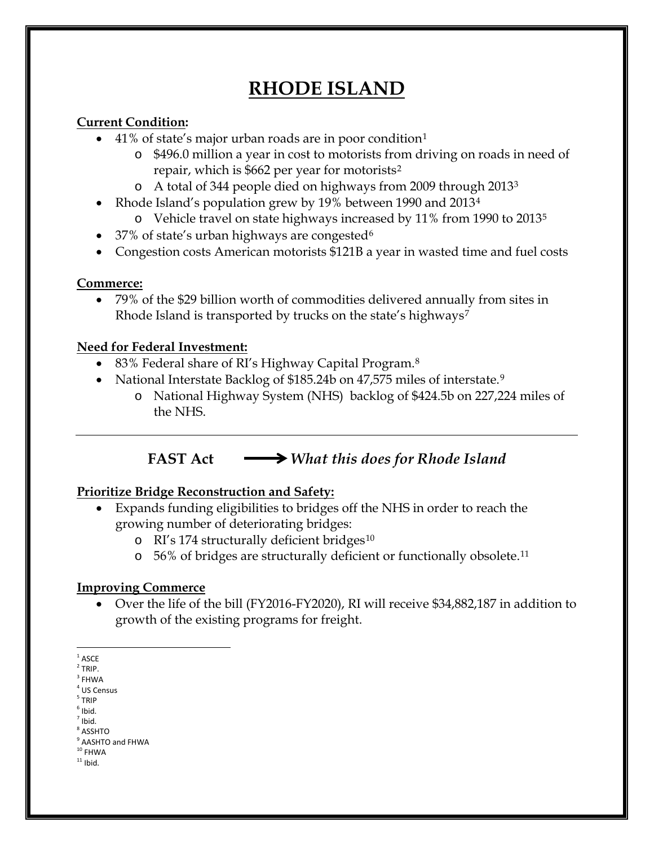# **RHODE ISLAND**

### **Current Condition:**

- 41% of state's major urban roads are in poor condition[1](#page-0-0)
	- o \$496.0 million a year in cost to motorists from driving on roads in need of repair, which is \$662 per year for motorists[2](#page-0-1)
	- o A total of 344 people died on highways from 2009 through 201[33](#page-0-2)
- Rhode Island's population grew by 19% between 1990 and 2013<sup>[4](#page-0-3)</sup>
	- o Vehicle travel on state highways increased by 11% from 1990 to 2013[5](#page-0-4)
- 37% of state's urban highways are congested<sup>[6](#page-0-5)</sup>
- Congestion costs American motorists \$121B a year in wasted time and fuel costs

### **Commerce:**

• 79% of the \$29 billion worth of commodities delivered annually from sites in Rhode Island is transported by trucks on the state's highways<sup>[7](#page-0-6)</sup>

### **Need for Federal Investment:**

- [8](#page-0-7)3% Federal share of RI's Highway Capital Program.<sup>8</sup>
- National Interstate Backlog of \$185.24b on 47,575 miles of interstate.<sup>[9](#page-0-8)</sup>
	- o National Highway System (NHS) backlog of \$424.5b on 227,224 miles of the NHS.

# **FAST Act** *What this does for Rhode Island*

# **Prioritize Bridge Reconstruction and Safety:**

- Expands funding eligibilities to bridges off the NHS in order to reach the growing number of deteriorating bridges:
	- o RI's 174 structurally deficient bridges<sup>[10](#page-0-9)</sup>
	- o 56% of bridges are structurally deficient or functionally obsolete.[11](#page-0-10)

# **Improving Commerce**

- Over the life of the bill (FY2016-FY2020), RI will receive \$34,882,187 in addition to growth of the existing programs for freight.
- $^{\rm 1}$  ASCE
- <span id="page-0-1"></span><span id="page-0-0"></span> $2$  TRIP.
- <span id="page-0-2"></span> $3$  FHWA <sup>4</sup> US Census
- <span id="page-0-4"></span><span id="page-0-3"></span><sup>5</sup> TRIP
- <span id="page-0-5"></span> $^6$  Ibid.
- $<sup>7</sup>$  Ibid.</sup>
- <span id="page-0-7"></span><span id="page-0-6"></span><sup>8</sup> ASSHTO

<span id="page-0-10"></span><span id="page-0-9"></span> $11$  Ibid.

<span id="page-0-8"></span><sup>&</sup>lt;sup>9</sup> AASHTO and FHWA  $10$  FHWA